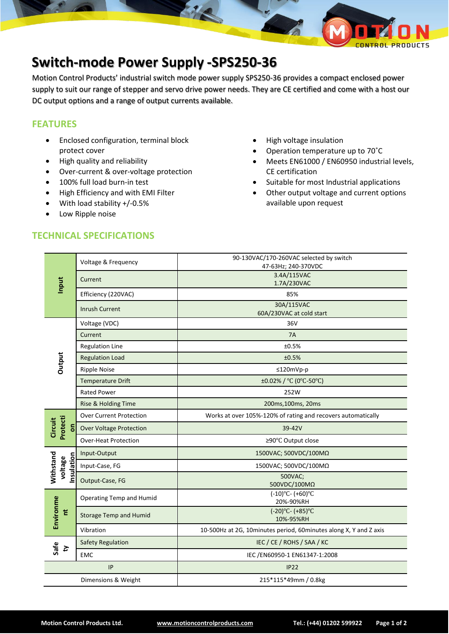

## **Switch-mode Power Supply -SPS250-36**

Motion Control Products' industrial switch mode power supply SPS250-36 provides a compact enclosed power supply to suit our range of stepper and servo drive power needs. They are CE certified and come with a host our DC output options and a range of output currents available.

## **FEATURES**

- Enclosed configuration, terminal block protect cover
- High quality and reliability
- Over-current & over-voltage protection
- 100% full load burn-in test
- High Efficiency and with EMI Filter
- With load stability +/-0.5%
- Low Ripple noise
- High voltage insulation • Operation temperature up to 70˚C
- Meets EN61000 / EN60950 industrial levels, CE certification
- Suitable for most Industrial applications
- Other output voltage and current options available upon request

|                     | Input                             | Voltage & Frequency            | 90-130VAC/170-260VAC selected by switch                           |
|---------------------|-----------------------------------|--------------------------------|-------------------------------------------------------------------|
|                     |                                   |                                | 47-63Hz; 240-370VDC                                               |
|                     |                                   | Current                        | 3.4A/115VAC<br>1.7A/230VAC                                        |
|                     |                                   | Efficiency (220VAC)            | 85%                                                               |
|                     |                                   | <b>Inrush Current</b>          | 30A/115VAC                                                        |
|                     |                                   |                                | 60A/230VAC at cold start                                          |
|                     | <b>Dutput</b>                     | Voltage (VDC)                  | 36V                                                               |
|                     |                                   | Current                        | 7A                                                                |
|                     |                                   | <b>Regulation Line</b>         | ±0.5%                                                             |
|                     |                                   | <b>Regulation Load</b>         | ±0.5%                                                             |
|                     |                                   | <b>Ripple Noise</b>            | $≤120mVp-p$                                                       |
|                     |                                   | <b>Temperature Drift</b>       | ±0.02% / °C (0°C-50°C)                                            |
|                     |                                   | <b>Rated Power</b>             | 252W                                                              |
|                     |                                   | Rise & Holding Time            | 200ms, 100ms, 20ms                                                |
|                     | Protecti<br>Circuit<br>S          | <b>Over Current Protection</b> | Works at over 105%-120% of rating and recovers automatically      |
|                     |                                   | <b>Over Voltage Protection</b> | 39-42V                                                            |
|                     |                                   | <b>Over-Heat Protection</b>    | ≥90°C Output close                                                |
|                     | Withstand<br>nsulation<br>voltage | Input-Output                   | 1500VAC; 500VDC/100MΩ                                             |
|                     |                                   | Input-Case, FG                 | 1500VAC; 500VDC/100MΩ                                             |
|                     |                                   | Output-Case, FG                | 500VAC;<br>500VDC/100MΩ                                           |
|                     | Environme<br>ť                    | Operating Temp and Humid       | $(-10)$ °C- $(+60)$ °C<br>20%-90%RH                               |
|                     |                                   | <b>Storage Temp and Humid</b>  | $(-20)$ °C- $(+85)$ °C<br>10%-95%RH                               |
|                     |                                   | Vibration                      | 10-500Hz at 2G, 10minutes period, 60minutes along X, Y and Z axis |
|                     | Safe<br>$\mathfrak{r}$            | <b>Safety Regulation</b>       | IEC / CE / ROHS / SAA / KC                                        |
|                     |                                   | <b>EMC</b>                     | IEC /EN60950-1 EN61347-1:2008                                     |
| IP                  |                                   |                                | IP22                                                              |
| Dimensions & Weight |                                   |                                | 215*115*49mm / 0.8kg                                              |
|                     |                                   |                                |                                                                   |

## **TECHNICAL SPECIFICATIONS**